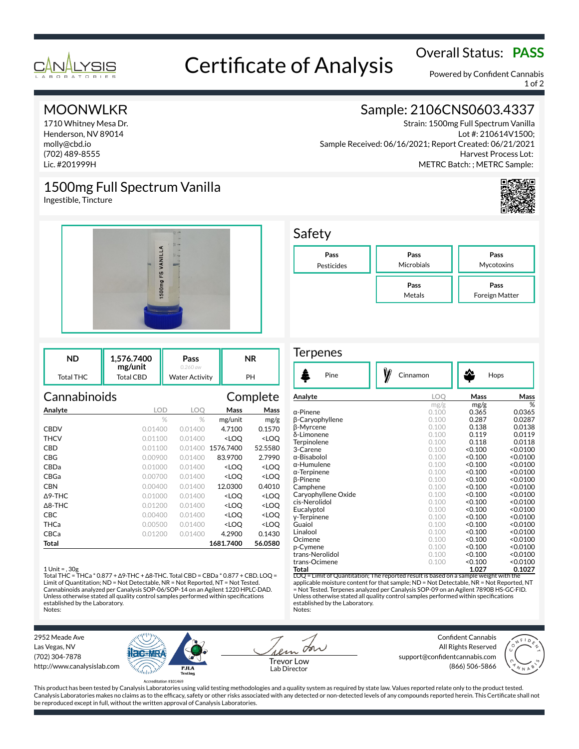

# Overall Status: **PASS**<br>Certificate of Analysis

Powered by Confident Cannabis 1 of 2

## **MOONWLKR**

1710 Whitney Mesa Dr. Henderson, NV 89014 molly@cbd.io (702) 489-8555 Lic. #201999H

## 1500mg Full Spectrum Vanilla

Ingestible, Tincture



| ND        | 1.576.7400<br>mg/unit | Pass<br>$0.260$ aw    | ΝR |
|-----------|-----------------------|-----------------------|----|
| Total THC | <b>Total CBD</b>      | <b>Water Activity</b> | PН |

| Cannabinoids |            |         | Complete                                        |                     |
|--------------|------------|---------|-------------------------------------------------|---------------------|
| Analyte      | <b>LOD</b> | LOO     | Mass                                            | Mass                |
|              | $\%$       | $\%$    | mg/unit                                         | mg/g                |
| <b>CBDV</b>  | 0.01400    | 0.01400 | 4.7100                                          | 0.1570              |
| <b>THCV</b>  | 0.01100    | 0.01400 | <loo< th=""><th><loq< th=""></loq<></th></loo<> | <loq< th=""></loq<> |
| <b>CBD</b>   | 0.01100    |         | 0.01400 1576.7400                               | 52.5580             |
| <b>CBG</b>   | 0.00900    | 0.01400 | 83.9700                                         | 2.7990              |
| CBDa         | 0.01000    | 0.01400 | <loo< th=""><th><loq< th=""></loq<></th></loo<> | <loq< th=""></loq<> |
| $\sim$       | 0.00700    | 0.01100 | $\overline{\phantom{a}}$                        | $\overline{100}$    |

| Analyte     | lod     |         | Mass                                                     | Mass                         |  |
|-------------|---------|---------|----------------------------------------------------------|------------------------------|--|
|             | $\%$    | %       | mg/unit                                                  | mg/g                         |  |
| <b>CBDV</b> | 0.01400 | 0.01400 | 4.7100                                                   | 0.1570                       |  |
| <b>THCV</b> | 0.01100 | 0.01400 | <loo< td=""><td><loo< td=""><td></td></loo<></td></loo<> | <loo< td=""><td></td></loo<> |  |
| <b>CBD</b>  | 0.01100 |         | 0.01400 1576.7400                                        | 52.5580                      |  |
| <b>CBG</b>  | 0.00900 | 0.01400 | 83.9700                                                  | 2.7990                       |  |
| CBDa        | 0.01000 | 0.01400 | <loo< td=""><td><loq< td=""><td></td></loq<></td></loo<> | <loq< td=""><td></td></loq<> |  |
| CBGa        | 0.00700 | 0.01400 | <loo< td=""><td><loo< td=""><td></td></loo<></td></loo<> | <loo< td=""><td></td></loo<> |  |
| <b>CBN</b>  | 0.00400 | 0.01400 | 12.0300                                                  | 0.4010                       |  |

### 1 Unit = , 30g

Total THC = THCa \* 0.877 + ∆9-THC + ∆8-THC. Total CBD = CBDa \* 0.877 + CBD. LOQ = Limit of Quantitation; ND = Not Detectable, NR = Not Reported, NT = Not Tested. Cannabinoids analyzed per Canalysis SOP-06/SOP-14 on an Agilent 1220 HPLC-DAD. Unless otherwise stated all quality control samples performed within specifications established by the Laboratory. Notes:

Δ9-THC 0.01000 0.01400 <LOQ <LOQ Δ8-THC 0.01200 0.01400 <LOQ <LOQ CBC 0.00400 0.01400 <LOQ <LOQ THCa 0.00500 0.01400 <LOQ <LOQ CBCa 0.01200 0.01400 4.2900 0.1430 **Total 1681.7400 56.0580**

## Sample: 2106CNS0603.4337

Strain: 1500mg Full Spectrum Vanilla Lot #: 210614V1500; Sample Received: 06/16/2021; Report Created: 06/21/2021 Harvest Process Lot: METRC Batch: ; METRC Sample:



# Safety



| Pine                                                                                    | Cinnamon | Hops    |          |  |
|-----------------------------------------------------------------------------------------|----------|---------|----------|--|
| Analyte                                                                                 | LOO      | Mass    | Mass     |  |
|                                                                                         | mg/g     | mg/g    | %        |  |
| α-Pinene                                                                                | 0.100    | 0.365   | 0.0365   |  |
| β-Caryophyllene                                                                         | 0.100    | 0.287   | 0.0287   |  |
| <b>B-Myrcene</b>                                                                        | 0.100    | 0.138   | 0.0138   |  |
| δ-Limonene                                                                              | 0.100    | 0.119   | 0.0119   |  |
| Terpinolene                                                                             | 0.100    | 0.118   | 0.0118   |  |
| 3-Carene                                                                                | 0.100    | < 0.100 | < 0.0100 |  |
| $\alpha$ -Bisabolol                                                                     | 0.100    | < 0.100 | < 0.0100 |  |
| $\alpha$ -Humulene                                                                      | 0.100    | < 0.100 | < 0.0100 |  |
| $\alpha$ -Terpinene                                                                     | 0.100    | < 0.100 | < 0.0100 |  |
| <b>B-Pinene</b>                                                                         | 0.100    | < 0.100 | < 0.0100 |  |
| Camphene                                                                                | 0.100    | < 0.100 | < 0.0100 |  |
| Caryophyllene Oxide                                                                     | 0.100    | < 0.100 | < 0.0100 |  |
| cis-Nerolidol                                                                           | 0.100    | < 0.100 | < 0.0100 |  |
| Eucalyptol                                                                              | 0.100    | < 0.100 | < 0.0100 |  |
| y-Terpinene                                                                             | 0.100    | < 0.100 | < 0.0100 |  |
| Guaiol                                                                                  | 0.100    | < 0.100 | < 0.0100 |  |
| Linalool                                                                                | 0.100    | < 0.100 | < 0.0100 |  |
| Ocimene                                                                                 | 0.100    | < 0.100 | < 0.0100 |  |
| p-Cymene                                                                                | 0.100    | < 0.100 | < 0.0100 |  |
| trans-Nerolidol                                                                         | 0.100    | < 0.100 | < 0.0100 |  |
| trans-Ocimene                                                                           | 0.100    | < 0.100 | < 0.0100 |  |
| Total                                                                                   |          | 1.027   | 0.1027   |  |
| $LOQ =$ Limit of Quantitation; The reported result is based on a sample weight with the |          |         |          |  |

applicable moisture content for that sample; ND = Not Detectable, NR = Not Reported, NT = Not Tested. Terpenes analyzed per Canalysis SOP-09 on an Agilent 7890B HS-GC-FID. Unless otherwise stated all quality control samples performed within specifications established by the Laboratory. Notes:

2952 Meade Ave Las Vegas, NV (702) 304-7878 http://www.canalysislab.com



on Lab Director

Confident Cannabis All Rights Reserved support@confidentcannabis.com (866) 506-5866 Trevor Low



This product has been tested by Canalysis Laboratories using valid testing methodologies and a quality system as required by state law. Values reported relate only to the product tested. Canalysis Laboratories makes no claims as to the efficacy, safety or other risks associated with any detected or non-detected levels of any compounds reported herein. This Certificate shall not be reproduced except in full, without the written approval of Canalysis Laboratories.

Complete

#### **Terpenes**